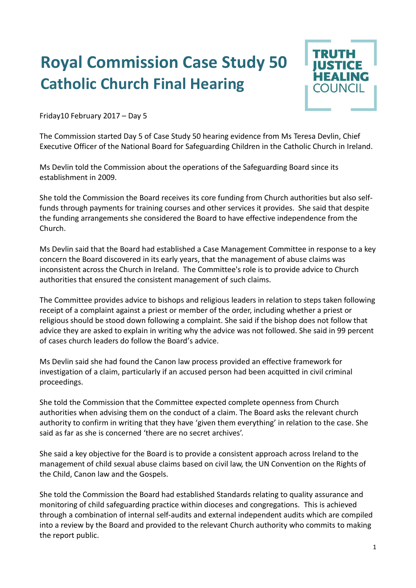## **Royal Commission Case Study 50 Catholic Church Final Hearing**



Friday10 February 2017 – Day 5

The Commission started Day 5 of Case Study 50 hearing evidence from Ms Teresa Devlin, Chief Executive Officer of the National Board for Safeguarding Children in the Catholic Church in Ireland.

Ms Devlin told the Commission about the operations of the Safeguarding Board since its establishment in 2009.

She told the Commission the Board receives its core funding from Church authorities but also selffunds through payments for training courses and other services it provides. She said that despite the funding arrangements she considered the Board to have effective independence from the Church.

Ms Devlin said that the Board had established a Case Management Committee in response to a key concern the Board discovered in its early years, that the management of abuse claims was inconsistent across the Church in Ireland. The Committee's role is to provide advice to Church authorities that ensured the consistent management of such claims.

The Committee provides advice to bishops and religious leaders in relation to steps taken following receipt of a complaint against a priest or member of the order, including whether a priest or religious should be stood down following a complaint. She said if the bishop does not follow that advice they are asked to explain in writing why the advice was not followed. She said in 99 percent of cases church leaders do follow the Board's advice.

Ms Devlin said she had found the Canon law process provided an effective framework for investigation of a claim, particularly if an accused person had been acquitted in civil criminal proceedings.

She told the Commission that the Committee expected complete openness from Church authorities when advising them on the conduct of a claim. The Board asks the relevant church authority to confirm in writing that they have 'given them everything' in relation to the case. She said as far as she is concerned 'there are no secret archives'.

She said a key objective for the Board is to provide a consistent approach across Ireland to the management of child sexual abuse claims based on civil law, the UN Convention on the Rights of the Child, Canon law and the Gospels.

She told the Commission the Board had established Standards relating to quality assurance and monitoring of child safeguarding practice within dioceses and congregations. This is achieved through a combination of internal self-audits and external independent audits which are compiled into a review by the Board and provided to the relevant Church authority who commits to making the report public.